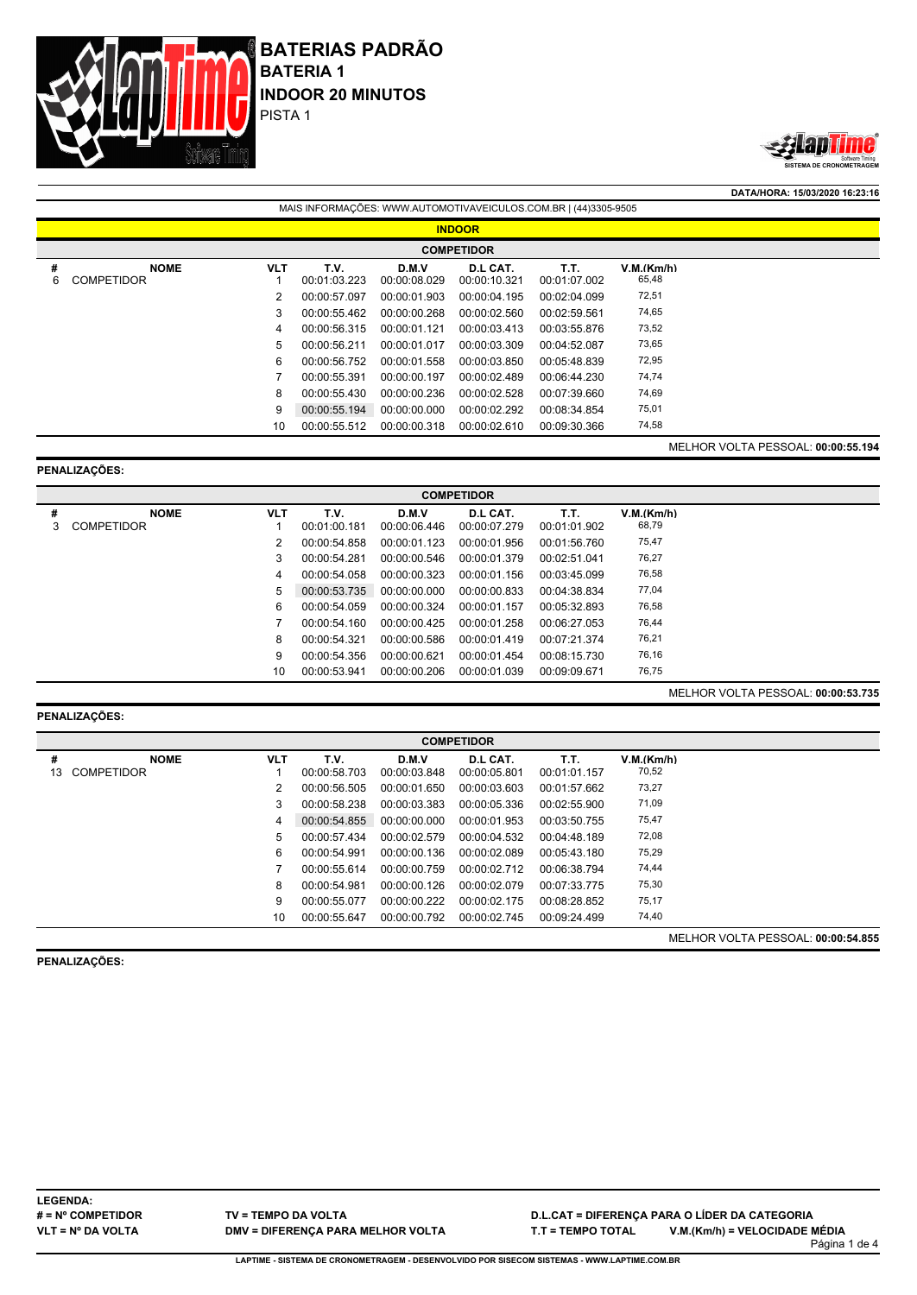



**DATA/HORA: 15/03/2020 16:23:16**

|        | MAIS INFORMAÇÕES: WWW.AUTOMOTIVAVEICULOS.COM.BR   (44)3305-9505 |            |                      |                       |                          |                      |                     |                                           |  |  |  |  |
|--------|-----------------------------------------------------------------|------------|----------------------|-----------------------|--------------------------|----------------------|---------------------|-------------------------------------------|--|--|--|--|
|        | <b>INDOOR</b>                                                   |            |                      |                       |                          |                      |                     |                                           |  |  |  |  |
|        | <b>COMPETIDOR</b>                                               |            |                      |                       |                          |                      |                     |                                           |  |  |  |  |
| #<br>6 | <b>NOME</b><br><b>COMPETIDOR</b>                                | <b>VLT</b> | T.V.<br>00:01:03.223 | D.M.V<br>00:00:08.029 | D.L CAT.<br>00:00:10.321 | T.T.<br>00:01:07.002 | V.M.(Km/h)<br>65,48 |                                           |  |  |  |  |
|        |                                                                 | 2          | 00:00:57.097         | 00:00:01.903          | 00:00:04.195             | 00:02:04.099         | 72,51               |                                           |  |  |  |  |
|        |                                                                 | 3          | 00:00:55.462         | 00:00:00.268          | 00:00:02.560             | 00:02:59.561         | 74,65               |                                           |  |  |  |  |
|        |                                                                 | 4          | 00:00:56.315         | 00:00:01.121          | 00:00:03.413             | 00:03:55.876         | 73,52               |                                           |  |  |  |  |
|        |                                                                 | 5          | 00:00:56.211         | 00:00:01.017          | 00:00:03.309             | 00:04:52.087         | 73,65               |                                           |  |  |  |  |
|        |                                                                 | 6          | 00:00:56.752         | 00:00:01.558          | 00:00:03.850             | 00:05:48.839         | 72,95               |                                           |  |  |  |  |
|        |                                                                 |            | 00:00:55.391         | 00:00:00.197          | 00:00:02.489             | 00:06:44.230         | 74,74               |                                           |  |  |  |  |
|        |                                                                 | 8          | 00:00:55.430         | 00:00:00.236          | 00:00:02.528             | 00:07:39.660         | 74,69               |                                           |  |  |  |  |
|        |                                                                 | 9          | 00:00:55.194         | 00:00:00.000          | 00:00:02.292             | 00:08:34.854         | 75,01               |                                           |  |  |  |  |
|        |                                                                 | 10         | 00:00:55.512         | 00:00:00.318          | 00:00:02.610             | 00:09:30.366         | 74,58               |                                           |  |  |  |  |
|        |                                                                 |            |                      |                       |                          |                      |                     | <b>MELHOR VOLTA PESSOAL: 00:00:55.194</b> |  |  |  |  |

#### **PENALIZAÇÕES:**

|   | <b>COMPETIDOR</b> |            |              |              |              |              |                                           |  |  |  |  |  |  |
|---|-------------------|------------|--------------|--------------|--------------|--------------|-------------------------------------------|--|--|--|--|--|--|
| # | <b>NOME</b>       | <b>VLT</b> | T.V.         | D.M.V        | D.L CAT.     | T.T.         | V.M.(Km/h)                                |  |  |  |  |  |  |
| 3 | <b>COMPETIDOR</b> |            | 00:01:00.181 | 00:00:06.446 | 00:00:07.279 | 00:01:01.902 | 68,79                                     |  |  |  |  |  |  |
|   |                   | 2          | 00:00:54.858 | 00:00:01.123 | 00:00:01.956 | 00:01:56.760 | 75,47                                     |  |  |  |  |  |  |
|   |                   | 3          | 00:00:54.281 | 00:00:00.546 | 00:00:01.379 | 00:02:51.041 | 76,27                                     |  |  |  |  |  |  |
|   |                   | 4          | 00:00:54.058 | 00:00:00.323 | 00:00:01.156 | 00:03:45.099 | 76,58                                     |  |  |  |  |  |  |
|   |                   | 5          | 00:00:53.735 | 00:00:00.000 | 00:00:00.833 | 00:04:38.834 | 77,04                                     |  |  |  |  |  |  |
|   |                   | 6          | 00:00:54.059 | 00:00:00.324 | 00:00:01.157 | 00:05:32.893 | 76,58                                     |  |  |  |  |  |  |
|   |                   |            | 00:00:54.160 | 00:00:00.425 | 00:00:01.258 | 00:06:27.053 | 76,44                                     |  |  |  |  |  |  |
|   |                   | 8          | 00:00:54.321 | 00:00:00.586 | 00:00:01.419 | 00:07:21.374 | 76,21                                     |  |  |  |  |  |  |
|   |                   | 9          | 00:00:54.356 | 00:00:00.621 | 00:00:01.454 | 00:08:15.730 | 76,16                                     |  |  |  |  |  |  |
|   |                   | 10         | 00:00:53.941 | 00:00:00.206 | 00:00:01.039 | 00:09:09.671 | 76,75                                     |  |  |  |  |  |  |
|   |                   |            |              |              |              |              | <b>MELHOR VOLTA PESSOAL: 00:00:53.735</b> |  |  |  |  |  |  |

### **PENALIZAÇÕES:**

|         | <b>COMPETIDOR</b>                |            |                      |                       |                          |                      |                                    |  |  |  |  |  |  |
|---------|----------------------------------|------------|----------------------|-----------------------|--------------------------|----------------------|------------------------------------|--|--|--|--|--|--|
| #<br>13 | <b>NOME</b><br><b>COMPETIDOR</b> | <b>VLT</b> | T.V.<br>00:00:58.703 | D.M.V<br>00:00:03.848 | D.L CAT.<br>00:00:05.801 | Т.Т.<br>00:01:01.157 | V.M.(Km/h)<br>70,52                |  |  |  |  |  |  |
|         |                                  | 2          | 00:00:56.505         | 00:00:01.650          | 00:00:03.603             | 00:01:57.662         | 73,27                              |  |  |  |  |  |  |
|         |                                  | 3          | 00:00:58.238         | 00:00:03.383          | 00:00:05.336             | 00:02:55.900         | 71,09                              |  |  |  |  |  |  |
|         |                                  | 4          | 00:00:54.855         | 00:00:00.000          | 00:00:01.953             | 00:03:50.755         | 75,47                              |  |  |  |  |  |  |
|         |                                  | 5          | 00:00:57.434         | 00:00:02.579          | 00:00:04.532             | 00:04:48.189         | 72,08                              |  |  |  |  |  |  |
|         |                                  | 6          | 00:00:54.991         | 00:00:00.136          | 00:00:02.089             | 00:05:43.180         | 75,29                              |  |  |  |  |  |  |
|         |                                  |            | 00:00:55.614         | 00:00:00.759          | 00:00:02.712             | 00:06:38.794         | 74,44                              |  |  |  |  |  |  |
|         |                                  | 8          | 00:00:54.981         | 00:00:00.126          | 00:00:02.079             | 00:07:33.775         | 75,30                              |  |  |  |  |  |  |
|         |                                  | 9          | 00:00:55.077         | 00:00:00.222          | 00:00:02.175             | 00:08:28.852         | 75,17                              |  |  |  |  |  |  |
|         |                                  | 10         | 00:00:55.647         | 00:00:00.792          | 00:00:02.745             | 00:09:24.499         | 74,40                              |  |  |  |  |  |  |
|         |                                  |            |                      |                       |                          |                      | MELHOR VOLTA PESSOAL: 00:00:54.855 |  |  |  |  |  |  |

**PENALIZAÇÕES:**

**LEGENDA: # = Nº COMPETIDOR VLT = Nº DA VOLTA**

**TV = TEMPO DA VOLTA DMV = DIFERENÇA PARA MELHOR VOLTA**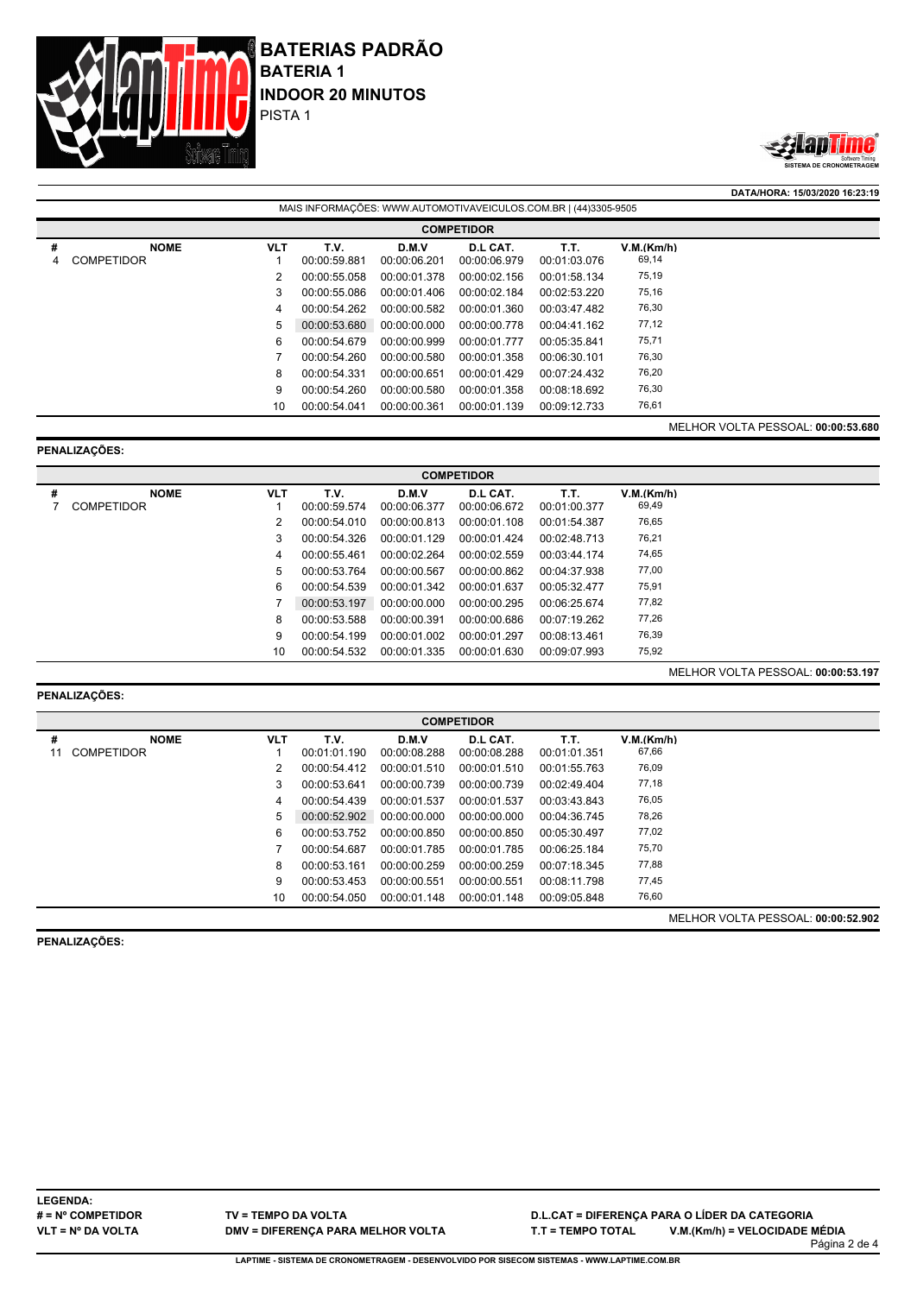



**DATA/HORA: 15/03/2020 16:23:19**

|        | MAIS INFORMAÇÕES: WWW.AUTOMOTIVAVEICULOS.COM.BR   (44)3305-9505 |            |                      |                       |                          |                      |                     |                                    |  |  |  |  |
|--------|-----------------------------------------------------------------|------------|----------------------|-----------------------|--------------------------|----------------------|---------------------|------------------------------------|--|--|--|--|
|        | <b>COMPETIDOR</b>                                               |            |                      |                       |                          |                      |                     |                                    |  |  |  |  |
| #<br>4 | <b>NOME</b><br><b>COMPETIDOR</b>                                | <b>VLT</b> | T.V.<br>00:00:59.881 | D.M.V<br>00:00:06.201 | D.L CAT.<br>00:00:06.979 | Т.Т.<br>00:01:03.076 | V.M.(Km/h)<br>69,14 |                                    |  |  |  |  |
|        |                                                                 | 2          | 00:00:55.058         | 00:00:01.378          | 00:00:02.156             | 00:01:58.134         | 75,19               |                                    |  |  |  |  |
|        |                                                                 | 3          | 00:00:55.086         | 00:00:01.406          | 00:00:02.184             | 00:02:53.220         | 75,16               |                                    |  |  |  |  |
|        |                                                                 | 4          | 00:00:54.262         | 00:00:00.582          | 00:00:01.360             | 00:03:47.482         | 76,30               |                                    |  |  |  |  |
|        |                                                                 | 5          | 00:00:53.680         | 00:00:00.000          | 00:00:00.778             | 00:04:41.162         | 77,12               |                                    |  |  |  |  |
|        |                                                                 | 6          | 00:00:54.679         | 00:00:00.999          | 00:00:01.777             | 00:05:35.841         | 75,71               |                                    |  |  |  |  |
|        |                                                                 |            | 00:00:54.260         | 00:00:00.580          | 00:00:01.358             | 00:06:30.101         | 76,30               |                                    |  |  |  |  |
|        |                                                                 | 8          | 00:00:54.331         | 00:00:00.651          | 00:00:01.429             | 00:07:24.432         | 76,20               |                                    |  |  |  |  |
|        |                                                                 | 9          | 00:00:54.260         | 00:00:00.580          | 00:00:01.358             | 00:08:18.692         | 76,30               |                                    |  |  |  |  |
|        |                                                                 | 10         | 00:00:54.041         | 00:00:00.361          | 00:00:01.139             | 00:09:12.733         | 76,61               |                                    |  |  |  |  |
|        |                                                                 |            |                      |                       |                          |                      |                     | MELHOR VOLTA PESSOAL: 00:00:53.680 |  |  |  |  |

## **PENALIZAÇÕES:**

|   | <b>COMPETIDOR</b> |            |              |              |              |              |            |  |  |  |  |  |
|---|-------------------|------------|--------------|--------------|--------------|--------------|------------|--|--|--|--|--|
| # | <b>NOME</b>       | <b>VLT</b> | T.V.         | D.M.V        | D.L CAT.     | T.T.         | V.M.(Km/h) |  |  |  |  |  |
|   | <b>COMPETIDOR</b> |            | 00:00:59.574 | 00:00:06.377 | 00:00:06.672 | 00:01:00.377 | 69,49      |  |  |  |  |  |
|   |                   | 2          | 00:00:54.010 | 00:00:00.813 | 00:00:01.108 | 00:01:54.387 | 76,65      |  |  |  |  |  |
|   |                   | 3          | 00:00:54.326 | 00:00:01.129 | 00:00:01.424 | 00:02:48.713 | 76,21      |  |  |  |  |  |
|   |                   | 4          | 00:00:55.461 | 00:00:02.264 | 00:00:02.559 | 00:03:44.174 | 74,65      |  |  |  |  |  |
|   |                   | 5          | 00:00:53.764 | 00:00:00.567 | 00:00:00.862 | 00:04:37.938 | 77,00      |  |  |  |  |  |
|   |                   | 6          | 00:00:54.539 | 00:00:01.342 | 00:00:01.637 | 00:05:32.477 | 75,91      |  |  |  |  |  |
|   |                   |            | 00:00:53.197 | 00:00:00.000 | 00:00:00.295 | 00:06:25.674 | 77,82      |  |  |  |  |  |
|   |                   | 8          | 00:00:53.588 | 00:00:00.391 | 00:00:00.686 | 00:07:19.262 | 77,26      |  |  |  |  |  |
|   |                   | 9          | 00:00:54.199 | 00:00:01.002 | 00:00:01.297 | 00:08:13.461 | 76,39      |  |  |  |  |  |
|   |                   | 10         | 00:00:54.532 | 00:00:01.335 | 00:00:01.630 | 00:09:07.993 | 75,92      |  |  |  |  |  |

## **PENALIZAÇÕES:**

| #  | <b>NOME</b>       | <b>VLT</b> | T.V.         | D.M.V        | D.L CAT.     | T.T.         | V.M.(Km/h) |                           |
|----|-------------------|------------|--------------|--------------|--------------|--------------|------------|---------------------------|
| 11 | <b>COMPETIDOR</b> |            | 00:01:01.190 | 00:00:08.288 | 00:00:08.288 | 00:01:01.351 | 67,66      |                           |
|    |                   | 2          | 00:00:54.412 | 00:00:01.510 | 00:00:01.510 | 00:01:55.763 | 76,09      |                           |
|    |                   | 3          | 00:00:53.641 | 00:00:00.739 | 00:00:00.739 | 00:02:49.404 | 77,18      |                           |
|    |                   | 4          | 00:00:54.439 | 00:00:01.537 | 00:00:01.537 | 00:03:43.843 | 76,05      |                           |
|    |                   | 5          | 00:00:52.902 | 00:00:00.000 | 00:00:00.000 | 00:04:36.745 | 78,26      |                           |
|    |                   | 6          | 00:00:53.752 | 00:00:00.850 | 00:00:00.850 | 00:05:30.497 | 77,02      |                           |
|    |                   |            | 00:00:54.687 | 00:00:01.785 | 00:00:01.785 | 00:06:25.184 | 75,70      |                           |
|    |                   | 8          | 00:00:53.161 | 00:00:00.259 | 00:00:00.259 | 00:07:18.345 | 77,88      |                           |
|    |                   | 9          | 00:00:53.453 | 00:00:00.551 | 00:00:00.551 | 00:08:11.798 | 77,45      |                           |
|    |                   | 10         | 00:00:54.050 | 00:00:01.148 | 00:00:01.148 | 00:09:05.848 | 76,60      |                           |
|    |                   |            |              |              |              |              |            | 1171110011017100001100001 |

**PENALIZAÇÕES:**

MELHOR VOLTA PESSOAL: **00:00:52.902**

MELHOR VOLTA PESSOAL: **00:00:53.197**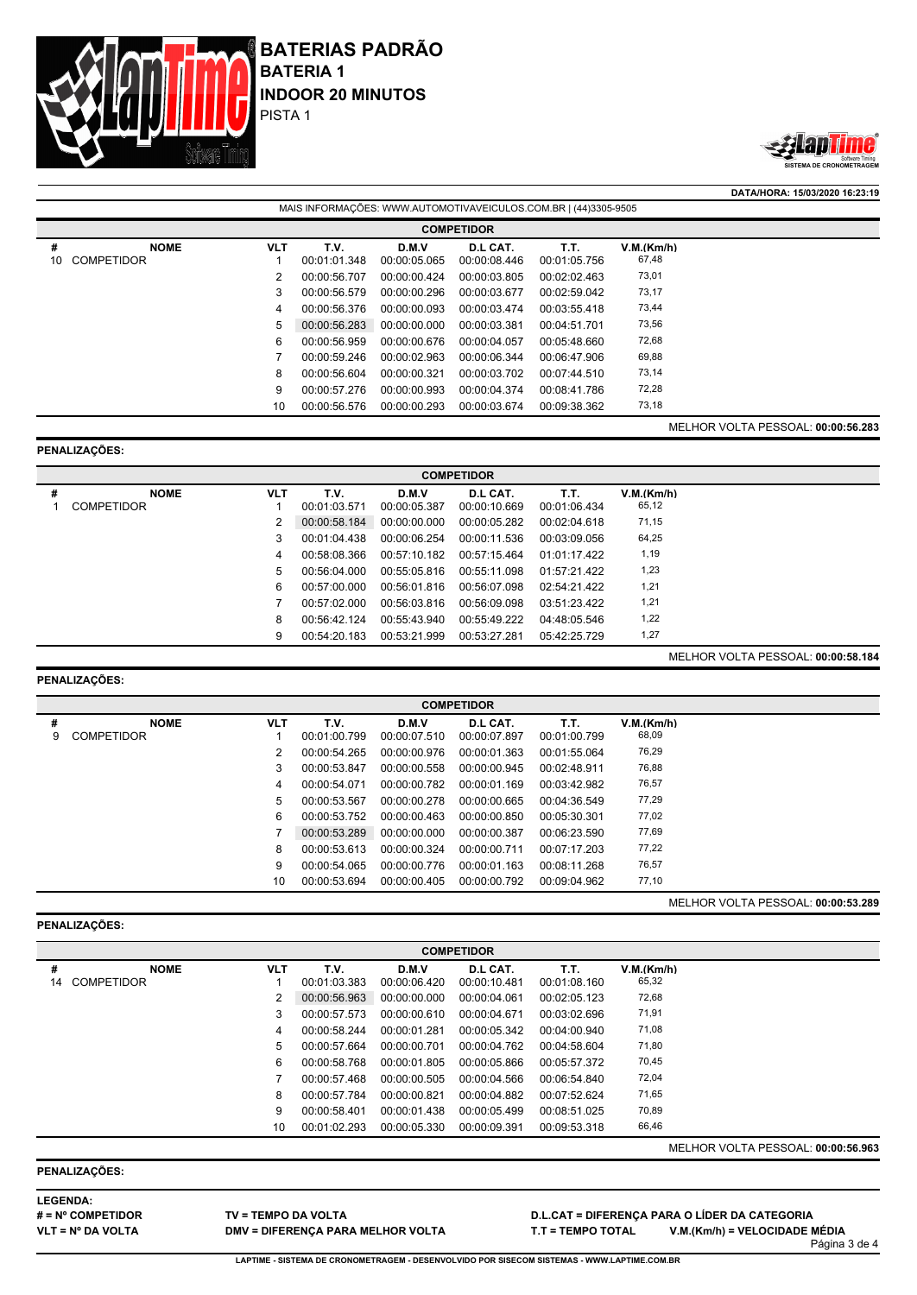



**DATA/HORA: 15/03/2020 16:23:19**

|         | MAIS INFORMACOES: WWW.AUTOMOTIVAVEICULOS.COM.BR   (44)3305-9505 |            |                      |                       |                          |                      |                     |                                           |  |  |  |  |
|---------|-----------------------------------------------------------------|------------|----------------------|-----------------------|--------------------------|----------------------|---------------------|-------------------------------------------|--|--|--|--|
|         | <b>COMPETIDOR</b>                                               |            |                      |                       |                          |                      |                     |                                           |  |  |  |  |
| #<br>10 | <b>NOME</b><br><b>COMPETIDOR</b>                                | <b>VLT</b> | T.V.<br>00:01:01.348 | D.M.V<br>00:00:05.065 | D.L CAT.<br>00:00:08.446 | T.T.<br>00:01:05.756 | V.M.(Km/h)<br>67,48 |                                           |  |  |  |  |
|         |                                                                 | 2          | 00:00:56.707         | 00:00:00.424          | 00:00:03.805             | 00:02:02.463         | 73,01               |                                           |  |  |  |  |
|         |                                                                 | 3          | 00:00:56.579         | 00:00:00.296          | 00:00:03.677             | 00:02:59.042         | 73,17               |                                           |  |  |  |  |
|         |                                                                 | 4          | 00:00:56.376         | 00:00:00.093          | 00:00:03.474             | 00:03:55.418         | 73,44               |                                           |  |  |  |  |
|         |                                                                 | 5          | 00:00:56.283         | 00:00:00.000          | 00:00:03.381             | 00:04:51.701         | 73,56               |                                           |  |  |  |  |
|         |                                                                 | 6          | 00:00:56.959         | 00:00:00.676          | 00:00:04.057             | 00:05:48.660         | 72,68               |                                           |  |  |  |  |
|         |                                                                 |            | 00:00:59.246         | 00:00:02.963          | 00:00:06.344             | 00:06:47.906         | 69,88               |                                           |  |  |  |  |
|         |                                                                 | 8          | 00:00:56.604         | 00:00:00.321          | 00:00:03.702             | 00:07:44.510         | 73,14               |                                           |  |  |  |  |
|         |                                                                 | 9          | 00:00:57.276         | 00:00:00.993          | 00:00:04.374             | 00:08:41.786         | 72,28               |                                           |  |  |  |  |
|         |                                                                 | 10         | 00:00:56.576         | 00:00:00.293          | 00:00:03.674             | 00:09:38.362         | 73,18               |                                           |  |  |  |  |
|         |                                                                 |            |                      |                       |                          |                      |                     | <b>MELHOR VOLTA PESSOAL: 00:00:56.283</b> |  |  |  |  |

## **PENALIZAÇÕES:**

|   | <b>COMPETIDOR</b> |            |              |              |              |                |            |  |  |  |  |  |
|---|-------------------|------------|--------------|--------------|--------------|----------------|------------|--|--|--|--|--|
| # | <b>NOME</b>       | <b>VLT</b> | T.V.         | D.M.V        | D.L CAT.     | T.T.           | V.M.(Km/h) |  |  |  |  |  |
|   | <b>COMPETIDOR</b> |            | 00:01:03.571 | 00:00:05.387 | 00:00:10.669 | 00:01:06.434   | 65,12      |  |  |  |  |  |
|   |                   | 2          | 00:00:58.184 | 00:00:00.000 | 00:00:05.282 | 00:02:04.618   | 71,15      |  |  |  |  |  |
|   |                   | 3          | 00:01:04.438 | 00:00:06.254 | 00:00:11.536 | 00:03:09.056   | 64,25      |  |  |  |  |  |
|   |                   | 4          | 00:58:08.366 | 00:57:10.182 | 00:57:15.464 | 01:01:17.422   | 1,19       |  |  |  |  |  |
|   |                   | 5          | 00:56:04.000 | 00:55:05.816 | 00:55:11.098 | $01.57.21$ 422 | 1,23       |  |  |  |  |  |
|   |                   | 6          | 00:57:00.000 | 00:56:01.816 | 00:56:07.098 | 02:54:21.422   | 1,21       |  |  |  |  |  |
|   |                   |            | 00.57.02.000 | 00:56:03.816 | 00:56:09.098 | 03:51:23:422   | 1,21       |  |  |  |  |  |
|   |                   | 8          | 00:56:42.124 | 00:55:43.940 | 00:55:49.222 | 04:48:05.546   | 1,22       |  |  |  |  |  |
|   |                   | 9          | 00:54:20.183 | 00:53:21.999 | 00:53:27.281 | 05:42:25.729   | 1,27       |  |  |  |  |  |

MELHOR VOLTA PESSOAL: **00:00:58.184**

## **PENALIZAÇÕES:**

|   | <b>COMPETIDOR</b> |            |              |              |              |              |            |  |  |  |  |  |
|---|-------------------|------------|--------------|--------------|--------------|--------------|------------|--|--|--|--|--|
| # | <b>NOME</b>       | <b>VLT</b> | T.V.         | D.M.V        | D.L CAT.     | T.T.         | V.M.(Km/h) |  |  |  |  |  |
| 9 | COMPETIDOR        |            | 00:01:00.799 | 00:00:07.510 | 00:00:07.897 | 00:01:00.799 | 68,09      |  |  |  |  |  |
|   |                   | 2          | 00:00:54.265 | 00:00:00.976 | 00:00:01.363 | 00:01:55.064 | 76,29      |  |  |  |  |  |
|   |                   | 3          | 00:00:53.847 | 00:00:00.558 | 00:00:00.945 | 00:02:48.911 | 76,88      |  |  |  |  |  |
|   |                   | 4          | 00:00:54.071 | 00:00:00.782 | 00:00:01.169 | 00:03:42.982 | 76,57      |  |  |  |  |  |
|   |                   | 5          | 00:00:53.567 | 00:00:00.278 | 00:00:00.665 | 00:04:36.549 | 77,29      |  |  |  |  |  |
|   |                   | 6          | 00:00:53.752 | 00:00:00.463 | 00:00:00.850 | 00:05:30.301 | 77,02      |  |  |  |  |  |
|   |                   |            | 00:00:53.289 | 00:00:00.000 | 00:00:00.387 | 00:06:23.590 | 77,69      |  |  |  |  |  |
|   |                   | 8          | 00:00:53.613 | 00:00:00.324 | 00:00:00.711 | 00:07:17.203 | 77,22      |  |  |  |  |  |
|   |                   | 9          | 00:00:54.065 | 00:00:00.776 | 00:00:01.163 | 00:08:11.268 | 76,57      |  |  |  |  |  |
|   |                   | 10         | 00:00:53.694 | 00:00:00.405 | 00:00:00.792 | 00:09:04.962 | 77,10      |  |  |  |  |  |

# **PENALIZAÇÕES:**

MELHOR VOLTA PESSOAL: **00:00:53.289**

|    | <b>COMPETIDOR</b> |            |              |              |              |              |            |                                           |  |  |  |  |
|----|-------------------|------------|--------------|--------------|--------------|--------------|------------|-------------------------------------------|--|--|--|--|
| #  | <b>NOME</b>       | <b>VLT</b> | T.V.         | D.M.V        | D.L CAT.     | T.T.         | V.M.(Km/h) |                                           |  |  |  |  |
| 14 | <b>COMPETIDOR</b> |            | 00:01:03.383 | 00:00:06.420 | 00:00:10.481 | 00:01:08.160 | 65,32      |                                           |  |  |  |  |
|    |                   | 2          | 00:00:56.963 | 00:00:00.000 | 00:00:04.061 | 00:02:05.123 | 72,68      |                                           |  |  |  |  |
|    |                   | 3          | 00:00:57.573 | 00:00:00.610 | 00:00:04.671 | 00:03:02.696 | 71,91      |                                           |  |  |  |  |
|    |                   | 4          | 00:00:58.244 | 00:00:01.281 | 00:00:05.342 | 00:04:00.940 | 71,08      |                                           |  |  |  |  |
|    |                   | 5          | 00:00:57.664 | 00:00:00.701 | 00:00:04.762 | 00:04:58.604 | 71,80      |                                           |  |  |  |  |
|    |                   | 6          | 00:00:58.768 | 00:00:01.805 | 00:00:05.866 | 00:05:57.372 | 70,45      |                                           |  |  |  |  |
|    |                   |            | 00:00:57.468 | 00:00:00.505 | 00:00:04.566 | 00:06:54.840 | 72,04      |                                           |  |  |  |  |
|    |                   | 8          | 00:00:57.784 | 00:00:00.821 | 00:00:04.882 | 00:07:52.624 | 71,65      |                                           |  |  |  |  |
|    |                   | 9          | 00:00:58.401 | 00:00:01.438 | 00:00:05.499 | 00:08:51.025 | 70,89      |                                           |  |  |  |  |
|    |                   | 10         | 00:01:02.293 | 00:00:05.330 | 00:00:09.391 | 00:09:53.318 | 66,46      |                                           |  |  |  |  |
|    |                   |            |              |              |              |              |            | <b>MELHOR VOLTA PESSOAL: 00:00:56.963</b> |  |  |  |  |

## **PENALIZAÇÕES:**

**LEGENDA: # = Nº COMPETIDOR VLT = Nº DA VOLTA**

**TV = TEMPO DA VOLTA DMV = DIFERENÇA PARA MELHOR VOLTA**